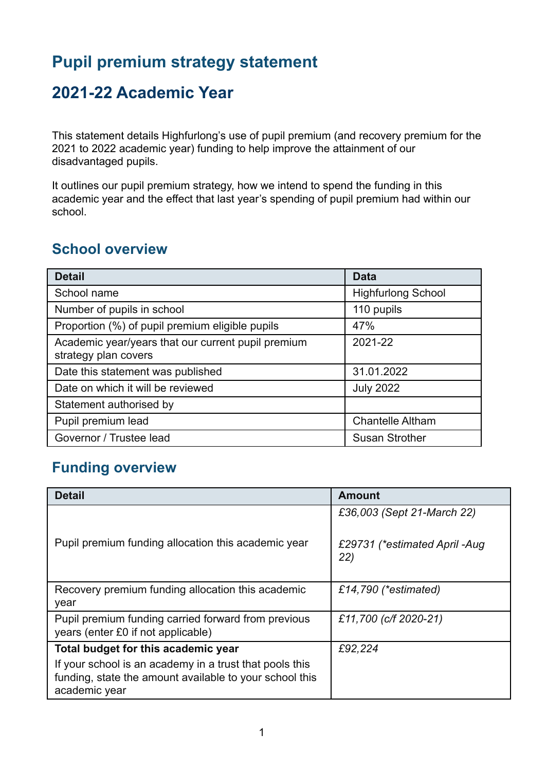# **Pupil premium strategy statement**

## **2021-22 Academic Year**

This statement details Highfurlong's use of pupil premium (and recovery premium for the 2021 to 2022 academic year) funding to help improve the attainment of our disadvantaged pupils.

It outlines our pupil premium strategy, how we intend to spend the funding in this academic year and the effect that last year's spending of pupil premium had within our school.

### **School overview**

| <b>Detail</b>                                                              | <b>Data</b>               |
|----------------------------------------------------------------------------|---------------------------|
| School name                                                                | <b>Highfurlong School</b> |
| Number of pupils in school                                                 | 110 pupils                |
| Proportion (%) of pupil premium eligible pupils                            | 47%                       |
| Academic year/years that our current pupil premium<br>strategy plan covers | 2021-22                   |
| Date this statement was published                                          | 31.01.2022                |
| Date on which it will be reviewed                                          | <b>July 2022</b>          |
| Statement authorised by                                                    |                           |
| Pupil premium lead                                                         | <b>Chantelle Altham</b>   |
| Governor / Trustee lead                                                    | <b>Susan Strother</b>     |

### **Funding overview**

| <b>Detail</b>                                                                                                                       | <b>Amount</b>                        |
|-------------------------------------------------------------------------------------------------------------------------------------|--------------------------------------|
|                                                                                                                                     | £36,003 (Sept 21-March 22)           |
| Pupil premium funding allocation this academic year                                                                                 | £29731 (*estimated April -Aug<br>22) |
| Recovery premium funding allocation this academic<br>year                                                                           | £14,790 (*estimated)                 |
| Pupil premium funding carried forward from previous<br>years (enter £0 if not applicable)                                           | £11,700 (c/f 2020-21)                |
| Total budget for this academic year                                                                                                 | £92,224                              |
| If your school is an academy in a trust that pools this<br>funding, state the amount available to your school this<br>academic year |                                      |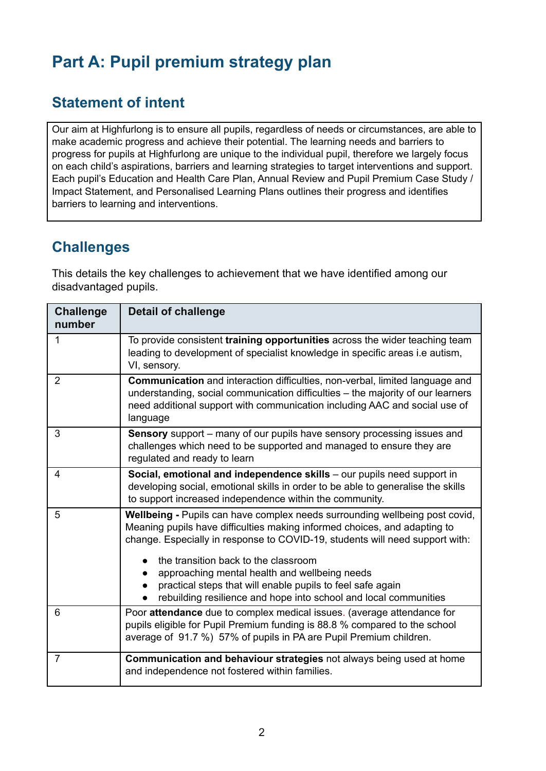# **Part A: Pupil premium strategy plan**

### **Statement of intent**

Our aim at Highfurlong is to ensure all pupils, regardless of needs or circumstances, are able to make academic progress and achieve their potential. The learning needs and barriers to progress for pupils at Highfurlong are unique to the individual pupil, therefore we largely focus on each child's aspirations, barriers and learning strategies to target interventions and support. Each pupil's Education and Health Care Plan, Annual Review and Pupil Premium Case Study / Impact Statement, and Personalised Learning Plans outlines their progress and identifies barriers to learning and interventions.

#### **Challenges**

This details the key challenges to achievement that we have identified among our disadvantaged pupils.

| <b>Challenge</b><br>number | <b>Detail of challenge</b>                                                                                                                                                                                                                                                                                                                                                                                                                                                 |
|----------------------------|----------------------------------------------------------------------------------------------------------------------------------------------------------------------------------------------------------------------------------------------------------------------------------------------------------------------------------------------------------------------------------------------------------------------------------------------------------------------------|
| $\mathbf{1}$               | To provide consistent training opportunities across the wider teaching team<br>leading to development of specialist knowledge in specific areas i.e autism,<br>VI, sensory.                                                                                                                                                                                                                                                                                                |
| 2                          | <b>Communication</b> and interaction difficulties, non-verbal, limited language and<br>understanding, social communication difficulties - the majority of our learners<br>need additional support with communication including AAC and social use of<br>language                                                                                                                                                                                                           |
| 3                          | <b>Sensory</b> support – many of our pupils have sensory processing issues and<br>challenges which need to be supported and managed to ensure they are<br>regulated and ready to learn                                                                                                                                                                                                                                                                                     |
| 4                          | Social, emotional and independence skills – our pupils need support in<br>developing social, emotional skills in order to be able to generalise the skills<br>to support increased independence within the community.                                                                                                                                                                                                                                                      |
| 5                          | <b>Wellbeing - Pupils can have complex needs surrounding wellbeing post covid,</b><br>Meaning pupils have difficulties making informed choices, and adapting to<br>change. Especially in response to COVID-19, students will need support with:<br>the transition back to the classroom<br>approaching mental health and wellbeing needs<br>practical steps that will enable pupils to feel safe again<br>rebuilding resilience and hope into school and local communities |
| 6                          | Poor attendance due to complex medical issues. (average attendance for<br>pupils eligible for Pupil Premium funding is 88.8 % compared to the school<br>average of 91.7 %) 57% of pupils in PA are Pupil Premium children.                                                                                                                                                                                                                                                 |
| $\overline{7}$             | Communication and behaviour strategies not always being used at home<br>and independence not fostered within families.                                                                                                                                                                                                                                                                                                                                                     |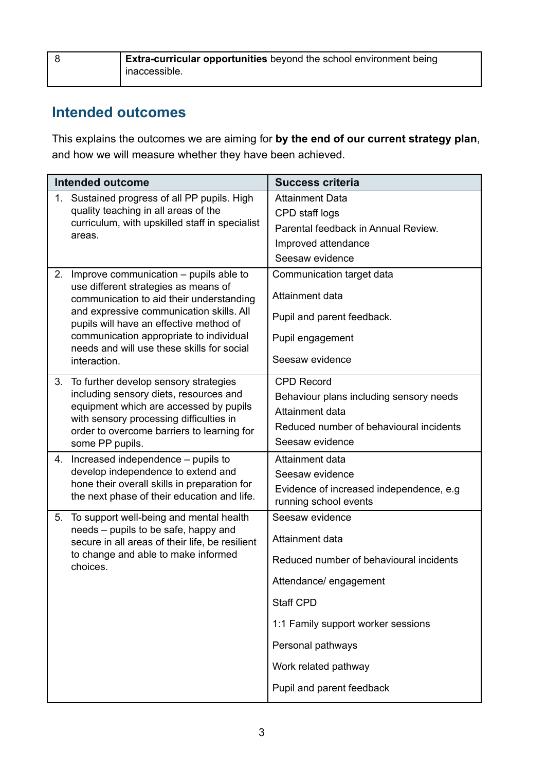| <b>Extra-curricular opportunities</b> beyond the school environment being |
|---------------------------------------------------------------------------|
| <sup>1</sup> inaccessible.                                                |

## **Intended outcomes**

This explains the outcomes we are aiming for **by the end of our current strategy plan**, and how we will measure whether they have been achieved.

| <b>Intended outcome</b>                                                                                   |                                                                                                                                                                                                                                                                    | <b>Success criteria</b>                                                                                                                                                                                                              |
|-----------------------------------------------------------------------------------------------------------|--------------------------------------------------------------------------------------------------------------------------------------------------------------------------------------------------------------------------------------------------------------------|--------------------------------------------------------------------------------------------------------------------------------------------------------------------------------------------------------------------------------------|
| 1.<br>quality teaching in all areas of the<br>areas.                                                      | Sustained progress of all PP pupils. High<br>curriculum, with upskilled staff in specialist                                                                                                                                                                        | <b>Attainment Data</b><br>CPD staff logs<br>Parental feedback in Annual Review.<br>Improved attendance<br>Seesaw evidence                                                                                                            |
| 2.<br>use different strategies as means of<br>interaction.                                                | Improve communication - pupils able to<br>communication to aid their understanding<br>and expressive communication skills. All<br>pupils will have an effective method of<br>communication appropriate to individual<br>needs and will use these skills for social | Communication target data<br>Attainment data<br>Pupil and parent feedback.<br>Pupil engagement<br>Seesaw evidence                                                                                                                    |
| To further develop sensory strategies<br>3.<br>with sensory processing difficulties in<br>some PP pupils. | including sensory diets, resources and<br>equipment which are accessed by pupils<br>order to overcome barriers to learning for                                                                                                                                     | <b>CPD Record</b><br>Behaviour plans including sensory needs<br>Attainment data<br>Reduced number of behavioural incidents<br>Seesaw evidence                                                                                        |
| Increased independence – pupils to<br>4.<br>develop independence to extend and                            | hone their overall skills in preparation for<br>the next phase of their education and life.                                                                                                                                                                        | Attainment data<br>Seesaw evidence<br>Evidence of increased independence, e.g.<br>running school events                                                                                                                              |
| 5.<br>needs - pupils to be safe, happy and<br>to change and able to make informed<br>choices.             | To support well-being and mental health<br>secure in all areas of their life, be resilient                                                                                                                                                                         | Seesaw evidence<br>Attainment data<br>Reduced number of behavioural incidents<br>Attendance/ engagement<br>Staff CPD<br>1:1 Family support worker sessions<br>Personal pathways<br>Work related pathway<br>Pupil and parent feedback |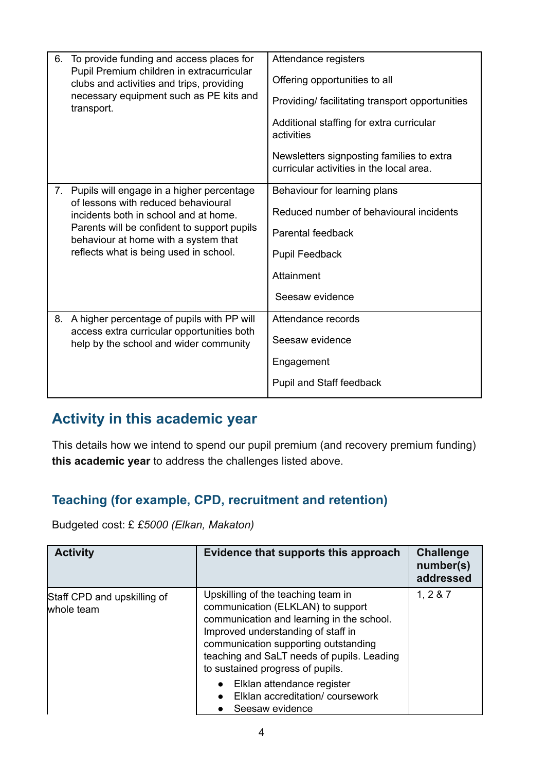| 6. | To provide funding and access places for<br>Pupil Premium children in extracurricular<br>clubs and activities and trips, providing<br>necessary equipment such as PE kits and<br>transport.                                                                | Attendance registers<br>Offering opportunities to all<br>Providing/facilitating transport opportunities<br>Additional staffing for extra curricular<br>activities<br>Newsletters signposting families to extra<br>curricular activities in the local area. |
|----|------------------------------------------------------------------------------------------------------------------------------------------------------------------------------------------------------------------------------------------------------------|------------------------------------------------------------------------------------------------------------------------------------------------------------------------------------------------------------------------------------------------------------|
| 7. | Pupils will engage in a higher percentage<br>of lessons with reduced behavioural<br>incidents both in school and at home.<br>Parents will be confident to support pupils<br>behaviour at home with a system that<br>reflects what is being used in school. | Behaviour for learning plans<br>Reduced number of behavioural incidents<br>Parental feedback<br>Pupil Feedback<br>Attainment<br>Seesaw evidence                                                                                                            |
| 8. | A higher percentage of pupils with PP will<br>access extra curricular opportunities both<br>help by the school and wider community                                                                                                                         | Attendance records<br>Seesaw evidence<br>Engagement<br>Pupil and Staff feedback                                                                                                                                                                            |

## **Activity in this academic year**

This details how we intend to spend our pupil premium (and recovery premium funding) **this academic year** to address the challenges listed above.

### **Teaching (for example, CPD, recruitment and retention)**

Budgeted cost: £ *£5000 (Elkan, Makaton)*

| <b>Activity</b>                           | Evidence that supports this approach                                                                                                                                                                                                                                                 | <b>Challenge</b><br>number(s)<br>addressed |
|-------------------------------------------|--------------------------------------------------------------------------------------------------------------------------------------------------------------------------------------------------------------------------------------------------------------------------------------|--------------------------------------------|
| Staff CPD and upskilling of<br>whole team | Upskilling of the teaching team in<br>communication (ELKLAN) to support<br>communication and learning in the school.<br>Improved understanding of staff in<br>communication supporting outstanding<br>teaching and SaLT needs of pupils. Leading<br>to sustained progress of pupils. | 1, 2 & 87                                  |
|                                           | Elklan attendance register<br>Elklan accreditation/coursework<br>Seesaw evidence                                                                                                                                                                                                     |                                            |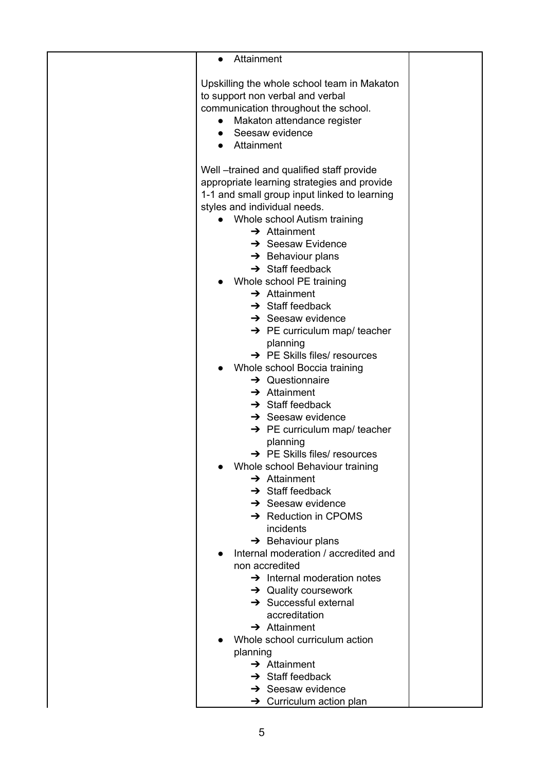| Attainment<br>$\bullet$                                                                                                                                                                                                                                                                                                                                                                                                                                                                                                                                                                                                                                                                                                                                                                                                                                                                                                                                                                                                                                                                                        |  |
|----------------------------------------------------------------------------------------------------------------------------------------------------------------------------------------------------------------------------------------------------------------------------------------------------------------------------------------------------------------------------------------------------------------------------------------------------------------------------------------------------------------------------------------------------------------------------------------------------------------------------------------------------------------------------------------------------------------------------------------------------------------------------------------------------------------------------------------------------------------------------------------------------------------------------------------------------------------------------------------------------------------------------------------------------------------------------------------------------------------|--|
| Upskilling the whole school team in Makaton<br>to support non verbal and verbal<br>communication throughout the school.<br>Makaton attendance register<br>Seesaw evidence<br>Attainment                                                                                                                                                                                                                                                                                                                                                                                                                                                                                                                                                                                                                                                                                                                                                                                                                                                                                                                        |  |
| Well-trained and qualified staff provide<br>appropriate learning strategies and provide<br>1-1 and small group input linked to learning<br>styles and individual needs.<br>Whole school Autism training<br>$\rightarrow$ Attainment<br>$\rightarrow$ Seesaw Evidence<br>$\rightarrow$ Behaviour plans<br>$\rightarrow$ Staff feedback<br>Whole school PE training<br>$\rightarrow$ Attainment<br>$\rightarrow$ Staff feedback<br>$\rightarrow$ Seesaw evidence<br>$\rightarrow$ PE curriculum map/ teacher<br>planning<br>$\rightarrow$ PE Skills files/ resources<br>Whole school Boccia training<br>$\rightarrow$ Questionnaire<br>$\rightarrow$ Attainment<br>$\rightarrow$ Staff feedback<br>$\rightarrow$ Seesaw evidence<br>$\rightarrow$ PE curriculum map/ teacher<br>planning<br>$\rightarrow$ PE Skills files/ resources<br>Whole school Behaviour training<br>$\rightarrow$ Attainment<br>$\rightarrow$ Staff feedback<br>$\rightarrow$ Seesaw evidence<br>$\rightarrow$ Reduction in CPOMS<br>incidents<br>$\rightarrow$ Behaviour plans<br>Internal moderation / accredited and<br>non accredited |  |
| $\rightarrow$ Internal moderation notes<br>$\rightarrow$ Quality coursework<br>$\rightarrow$ Successful external<br>accreditation<br>$\rightarrow$ Attainment<br>Whole school curriculum action                                                                                                                                                                                                                                                                                                                                                                                                                                                                                                                                                                                                                                                                                                                                                                                                                                                                                                                |  |
| planning                                                                                                                                                                                                                                                                                                                                                                                                                                                                                                                                                                                                                                                                                                                                                                                                                                                                                                                                                                                                                                                                                                       |  |
| $\rightarrow$ Attainment<br>$\rightarrow$ Staff feedback                                                                                                                                                                                                                                                                                                                                                                                                                                                                                                                                                                                                                                                                                                                                                                                                                                                                                                                                                                                                                                                       |  |
| $\rightarrow$ Seesaw evidence                                                                                                                                                                                                                                                                                                                                                                                                                                                                                                                                                                                                                                                                                                                                                                                                                                                                                                                                                                                                                                                                                  |  |
| $\rightarrow$ Curriculum action plan                                                                                                                                                                                                                                                                                                                                                                                                                                                                                                                                                                                                                                                                                                                                                                                                                                                                                                                                                                                                                                                                           |  |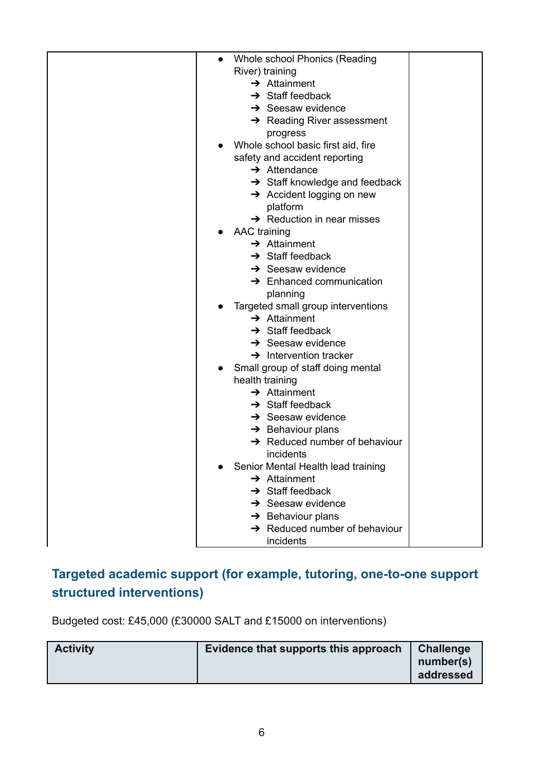| Whole school Phonics (Reading<br>$\bullet$     |  |
|------------------------------------------------|--|
| River) training                                |  |
| $\rightarrow$ Attainment                       |  |
| $\rightarrow$ Staff feedback                   |  |
| $\rightarrow$ Seesaw evidence                  |  |
| $\rightarrow$ Reading River assessment         |  |
| progress                                       |  |
| Whole school basic first aid, fire             |  |
| safety and accident reporting                  |  |
| $\rightarrow$ Attendance                       |  |
| $\rightarrow$ Staff knowledge and feedback     |  |
| Accident logging on new                        |  |
| platform                                       |  |
| $\rightarrow$ Reduction in near misses         |  |
| <b>AAC</b> training                            |  |
| $\rightarrow$ Attainment                       |  |
| $\rightarrow$ Staff feedback                   |  |
| $\rightarrow$ Seesaw evidence                  |  |
| $\rightarrow$ Enhanced communication           |  |
| planning                                       |  |
| Targeted small group interventions             |  |
| $\rightarrow$ Attainment                       |  |
| $\rightarrow$ Staff feedback                   |  |
| $\rightarrow$ Seesaw evidence                  |  |
| $\rightarrow$ Intervention tracker             |  |
| Small group of staff doing mental<br>$\bullet$ |  |
| health training                                |  |
| $\rightarrow$ Attainment                       |  |
| $\rightarrow$ Staff feedback                   |  |
| $\rightarrow$ Seesaw evidence                  |  |
| $\rightarrow$ Behaviour plans                  |  |
| $\rightarrow$ Reduced number of behaviour      |  |
| incidents                                      |  |
| Senior Mental Health lead training             |  |
| $\rightarrow$ Attainment                       |  |
| $\rightarrow$ Staff feedback                   |  |
| $\rightarrow$ Seesaw evidence                  |  |
| $\rightarrow$ Behaviour plans                  |  |
| $\rightarrow$ Reduced number of behaviour      |  |
| incidents                                      |  |
|                                                |  |

## **Targeted academic support (for example, tutoring, one-to-one support structured interventions)**

Budgeted cost: £45,000 (£30000 SALT and £15000 on interventions)

| <b>Activity</b> | Evidence that supports this approach | <b>Challenge</b><br>number(s)<br>addressed |
|-----------------|--------------------------------------|--------------------------------------------|
|                 |                                      |                                            |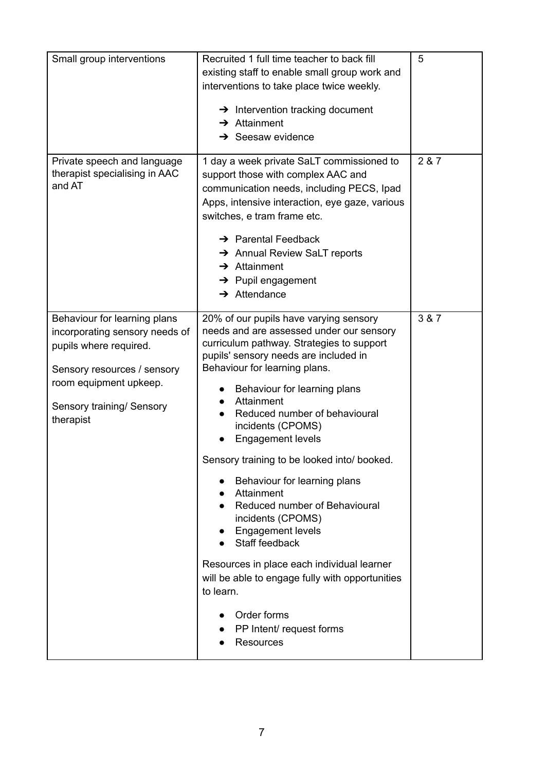| Small group interventions                                                                                                                                                                   | Recruited 1 full time teacher to back fill<br>existing staff to enable small group work and<br>interventions to take place twice weekly.<br>$\rightarrow$ Intervention tracking document<br>$\rightarrow$ Attainment<br>$\rightarrow$ Seesaw evidence                                                                                                                                                                                                                                                                                                                                                                                                                                                                   | 5     |
|---------------------------------------------------------------------------------------------------------------------------------------------------------------------------------------------|-------------------------------------------------------------------------------------------------------------------------------------------------------------------------------------------------------------------------------------------------------------------------------------------------------------------------------------------------------------------------------------------------------------------------------------------------------------------------------------------------------------------------------------------------------------------------------------------------------------------------------------------------------------------------------------------------------------------------|-------|
| Private speech and language<br>therapist specialising in AAC<br>and AT                                                                                                                      | 1 day a week private SaLT commissioned to<br>support those with complex AAC and<br>communication needs, including PECS, Ipad<br>Apps, intensive interaction, eye gaze, various<br>switches, e tram frame etc.<br>$\rightarrow$ Parental Feedback<br>$\rightarrow$ Annual Review SaLT reports<br>$\rightarrow$ Attainment<br>$\rightarrow$ Pupil engagement<br>$\rightarrow$ Attendance                                                                                                                                                                                                                                                                                                                                  | 2 & 7 |
| Behaviour for learning plans<br>incorporating sensory needs of<br>pupils where required.<br>Sensory resources / sensory<br>room equipment upkeep.<br>Sensory training/ Sensory<br>therapist | 20% of our pupils have varying sensory<br>needs and are assessed under our sensory<br>curriculum pathway. Strategies to support<br>pupils' sensory needs are included in<br>Behaviour for learning plans.<br>Behaviour for learning plans<br>Attainment<br>Reduced number of behavioural<br>incidents (CPOMS)<br><b>Engagement levels</b><br>Sensory training to be looked into/ booked.<br>Behaviour for learning plans<br>Attainment<br>Reduced number of Behavioural<br>incidents (CPOMS)<br><b>Engagement levels</b><br>Staff feedback<br>Resources in place each individual learner<br>will be able to engage fully with opportunities<br>to learn.<br>Order forms<br>PP Intent/ request forms<br><b>Resources</b> | 3 & 7 |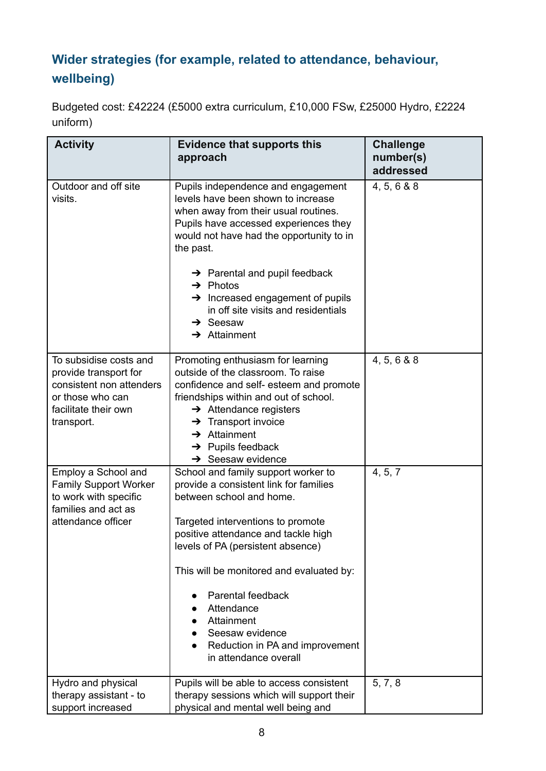## **Wider strategies (for example, related to attendance, behaviour, wellbeing)**

Budgeted cost: £42224 (£5000 extra curriculum, £10,000 FSw, £25000 Hydro, £2224 uniform)

| <b>Activity</b>                                                                                                                       | <b>Evidence that supports this</b><br>approach                                                                                                                                                                                                                                                                                                                                                                                     | <b>Challenge</b><br>number(s)<br>addressed |
|---------------------------------------------------------------------------------------------------------------------------------------|------------------------------------------------------------------------------------------------------------------------------------------------------------------------------------------------------------------------------------------------------------------------------------------------------------------------------------------------------------------------------------------------------------------------------------|--------------------------------------------|
| Outdoor and off site<br>visits.                                                                                                       | Pupils independence and engagement<br>levels have been shown to increase<br>when away from their usual routines.<br>Pupils have accessed experiences they<br>would not have had the opportunity to in<br>the past.<br>$\rightarrow$ Parental and pupil feedback<br>$\rightarrow$ Photos<br>$\rightarrow$ Increased engagement of pupils<br>in off site visits and residentials<br>$\rightarrow$ Seesaw<br>$\rightarrow$ Attainment | 4, 5, 6 & 8                                |
| To subsidise costs and<br>provide transport for<br>consistent non attenders<br>or those who can<br>facilitate their own<br>transport. | Promoting enthusiasm for learning<br>outside of the classroom. To raise<br>confidence and self- esteem and promote<br>friendships within and out of school.<br>$\rightarrow$ Attendance registers<br>$\rightarrow$ Transport invoice<br>$\rightarrow$ Attainment<br>$\rightarrow$ Pupils feedback<br>$\rightarrow$ Seesaw evidence                                                                                                 | 4, 5, 6 & 8                                |
| Employ a School and<br><b>Family Support Worker</b><br>to work with specific<br>families and act as<br>attendance officer             | School and family support worker to<br>provide a consistent link for families<br>between school and home.<br>Targeted interventions to promote<br>positive attendance and tackle high<br>levels of PA (persistent absence)<br>This will be monitored and evaluated by:<br>Parental feedback<br>Attendance<br>Attainment<br>Seesaw evidence<br>Reduction in PA and improvement<br>in attendance overall                             | 4, 5, 7                                    |
| Hydro and physical<br>therapy assistant - to<br>support increased                                                                     | Pupils will be able to access consistent<br>therapy sessions which will support their<br>physical and mental well being and                                                                                                                                                                                                                                                                                                        | 5, 7, 8                                    |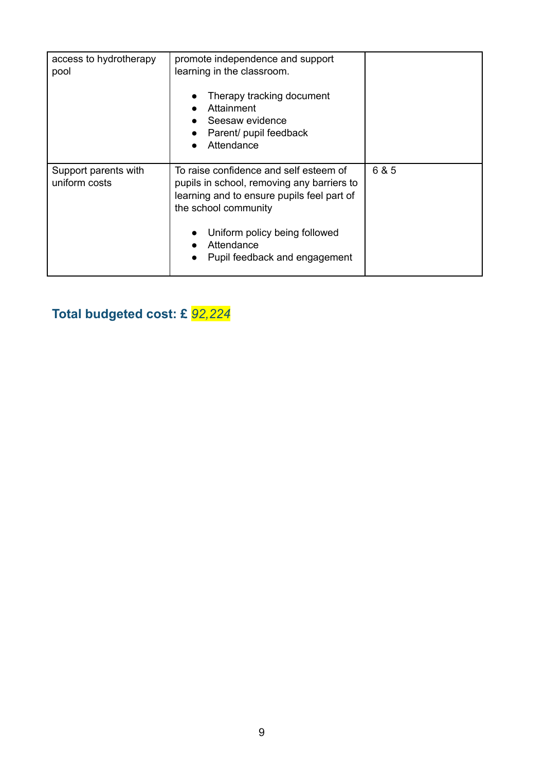| access to hydrotherapy<br>pool        | promote independence and support<br>learning in the classroom.<br>Therapy tracking document<br>Attainment<br>Seesaw evidence<br>Parent/ pupil feedback<br>Attendance                                                                       |       |
|---------------------------------------|--------------------------------------------------------------------------------------------------------------------------------------------------------------------------------------------------------------------------------------------|-------|
| Support parents with<br>uniform costs | To raise confidence and self esteem of<br>pupils in school, removing any barriers to<br>learning and to ensure pupils feel part of<br>the school community<br>Uniform policy being followed<br>Attendance<br>Pupil feedback and engagement | 6 & 5 |

# **Total budgeted cost: £** *92,224*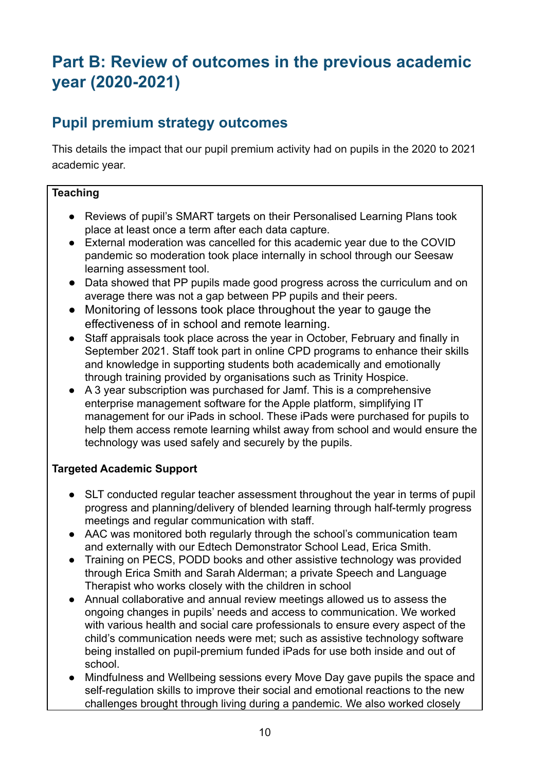# **Part B: Review of outcomes in the previous academic year (2020-2021)**

## **Pupil premium strategy outcomes**

This details the impact that our pupil premium activity had on pupils in the 2020 to 2021 academic year.

#### **Teaching**

- Reviews of pupil's SMART targets on their Personalised Learning Plans took place at least once a term after each data capture.
- External moderation was cancelled for this academic year due to the COVID pandemic so moderation took place internally in school through our Seesaw learning assessment tool.
- Data showed that PP pupils made good progress across the curriculum and on average there was not a gap between PP pupils and their peers.
- Monitoring of lessons took place throughout the year to gauge the effectiveness of in school and remote learning.
- Staff appraisals took place across the year in October, February and finally in September 2021. Staff took part in online CPD programs to enhance their skills and knowledge in supporting students both academically and emotionally through training provided by organisations such as Trinity Hospice.
- A 3 year subscription was purchased for Jamf. This is a comprehensive enterprise management software for the Apple platform, simplifying IT management for our iPads in school. These iPads were purchased for pupils to help them access remote learning whilst away from school and would ensure the technology was used safely and securely by the pupils.

#### **Targeted Academic Support**

- SLT conducted regular teacher assessment throughout the year in terms of pupil progress and planning/delivery of blended learning through half-termly progress meetings and regular communication with staff.
- AAC was monitored both regularly through the school's communication team and externally with our Edtech Demonstrator School Lead, Erica Smith.
- Training on PECS, PODD books and other assistive technology was provided through Erica Smith and Sarah Alderman; a private Speech and Language Therapist who works closely with the children in school
- Annual collaborative and annual review meetings allowed us to assess the ongoing changes in pupils' needs and access to communication. We worked with various health and social care professionals to ensure every aspect of the child's communication needs were met; such as assistive technology software being installed on pupil-premium funded iPads for use both inside and out of school.
- Mindfulness and Wellbeing sessions every Move Day gave pupils the space and self-regulation skills to improve their social and emotional reactions to the new challenges brought through living during a pandemic. We also worked closely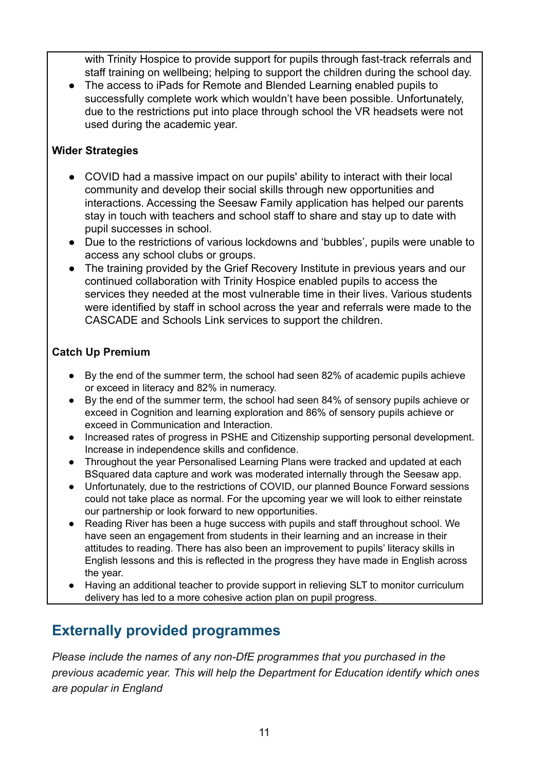with Trinity Hospice to provide support for pupils through fast-track referrals and staff training on wellbeing; helping to support the children during the school day.

● The access to iPads for Remote and Blended Learning enabled pupils to successfully complete work which wouldn't have been possible. Unfortunately, due to the restrictions put into place through school the VR headsets were not used during the academic year.

#### **Wider Strategies**

- COVID had a massive impact on our pupils' ability to interact with their local community and develop their social skills through new opportunities and interactions. Accessing the Seesaw Family application has helped our parents stay in touch with teachers and school staff to share and stay up to date with pupil successes in school.
- Due to the restrictions of various lockdowns and 'bubbles', pupils were unable to access any school clubs or groups.
- The training provided by the Grief Recovery Institute in previous years and our continued collaboration with Trinity Hospice enabled pupils to access the services they needed at the most vulnerable time in their lives. Various students were identified by staff in school across the year and referrals were made to the CASCADE and Schools Link services to support the children.

#### **Catch Up Premium**

- By the end of the summer term, the school had seen 82% of academic pupils achieve or exceed in literacy and 82% in numeracy.
- By the end of the summer term, the school had seen 84% of sensory pupils achieve or exceed in Cognition and learning exploration and 86% of sensory pupils achieve or exceed in Communication and Interaction.
- Increased rates of progress in PSHE and Citizenship supporting personal development. Increase in independence skills and confidence.
- Throughout the year Personalised Learning Plans were tracked and updated at each BSquared data capture and work was moderated internally through the Seesaw app.
- Unfortunately, due to the restrictions of COVID, our planned Bounce Forward sessions could not take place as normal. For the upcoming year we will look to either reinstate our partnership or look forward to new opportunities.
- Reading River has been a huge success with pupils and staff throughout school. We have seen an engagement from students in their learning and an increase in their attitudes to reading. There has also been an improvement to pupils' literacy skills in English lessons and this is reflected in the progress they have made in English across the year.
- Having an additional teacher to provide support in relieving SLT to monitor curriculum delivery has led to a more cohesive action plan on pupil progress.

## **Externally provided programmes**

*Please include the names of any non-DfE programmes that you purchased in the previous academic year. This will help the Department for Education identify which ones are popular in England*